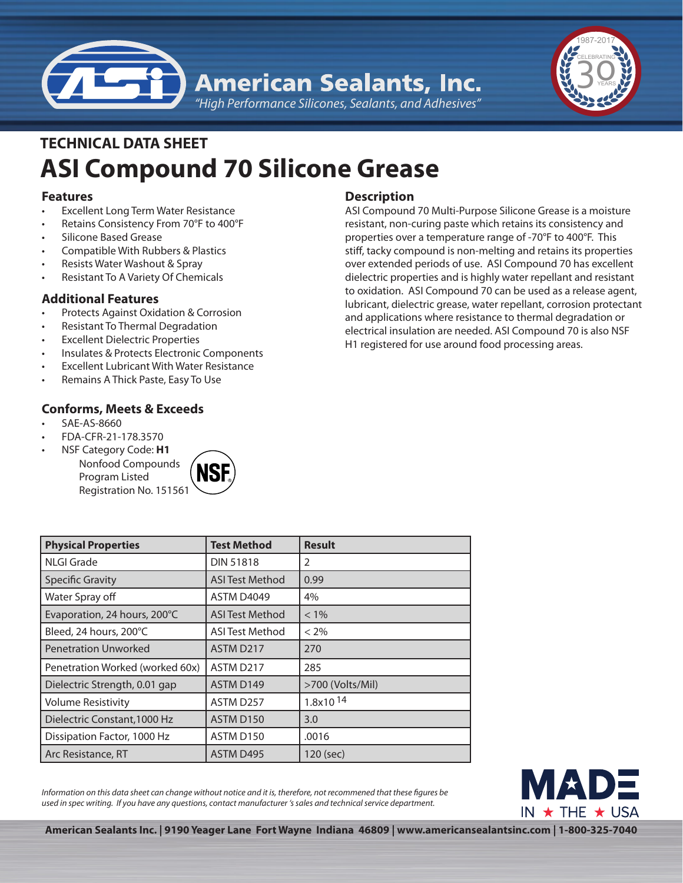



# **ASI Compound 70 Silicone Grease TECHNICAL DATA SHEET**

### **Features**

- **Excellent Long Term Water Resistance**
- Retains Consistency From 70°F to 400°F
- Silicone Based Grease
- Compatible With Rubbers & Plastics
- Resists Water Washout & Spray
- Resistant To A Variety Of Chemicals

## **Additional Features**

- Protects Against Oxidation & Corrosion
- Resistant To Thermal Degradation
- **Excellent Dielectric Properties**
- Insulates & Protects Electronic Components
- **Excellent Lubricant With Water Resistance**
- Remains A Thick Paste, Easy To Use

## **Conforms, Meets & Exceeds**

- SAE-AS-8660
- • FDA-CFR-21-178.3570
- **NSF Category Code: H1**

Nonfood Compounds Program Listed Registration No. 151561



## **Description**

ASI Compound 70 Multi-Purpose Silicone Grease is a moisture resistant, non-curing paste which retains its consistency and properties over a temperature range of -70°F to 400°F. This stiff, tacky compound is non-melting and retains its properties over extended periods of use. ASI Compound 70 has excellent dielectric properties and is highly water repellant and resistant to oxidation. ASI Compound 70 can be used as a release agent, lubricant, dielectric grease, water repellant, corrosion protectant and applications where resistance to thermal degradation or electrical insulation are needed. ASI Compound 70 is also NSF H1 registered for use around food processing areas.

| <b>Physical Properties</b>      | <b>Test Method</b>     | <b>Result</b>        |
|---------------------------------|------------------------|----------------------|
| NLGI Grade                      | <b>DIN 51818</b>       | 2                    |
| <b>Specific Gravity</b>         | <b>ASI Test Method</b> | 0.99                 |
| Water Spray off                 | ASTM D4049             | 4%                   |
| Evaporation, 24 hours, 200°C    | <b>ASI Test Method</b> | $< 1\%$              |
| Bleed, 24 hours, 200°C          | <b>ASI Test Method</b> | $< 2\%$              |
| <b>Penetration Unworked</b>     | ASTM D217              | 270                  |
| Penetration Worked (worked 60x) | ASTM D217              | 285                  |
| Dielectric Strength, 0.01 gap   | ASTM D149              | >700 (Volts/Mil)     |
| <b>Volume Resistivity</b>       | ASTM D257              | 1.8x10 <sup>14</sup> |
| Dielectric Constant, 1000 Hz    | ASTM D150              | 3.0                  |
| Dissipation Factor, 1000 Hz     | ASTM D150              | .0016                |
| Arc Resistance, RT              | ASTM D495              | 120 (sec)            |

*Information on this data sheet can change without notice and it is, therefore, not recommened that these figures be used in spec writing. If you have any questions, contact manufacturer 's sales and technical service department.*



**American Sealants Inc. | 9190 Yeager Lane Fort Wayne Indiana 46809 | www.americansealantsinc.com | 1-800-325-7040**